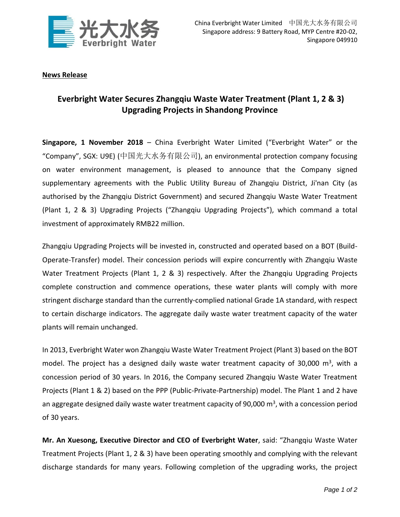

## **News Release**

## **Everbright Water Secures Zhangqiu Waste Water Treatment (Plant 1, 2 & 3) Upgrading Projects in Shandong Province**

**Singapore, 1 November 2018** – China Everbright Water Limited ("Everbright Water" or the "Company", SGX: U9E) (中国光大水务有限公司), an environmental protection company focusing on water environment management, is pleased to announce that the Company signed supplementary agreements with the Public Utility Bureau of Zhangqiu District, Ji'nan City (as authorised by the Zhangqiu District Government) and secured Zhangqiu Waste Water Treatment (Plant 1, 2 & 3) Upgrading Projects ("Zhangqiu Upgrading Projects"), which command a total investment of approximately RMB22 million.

Zhangqiu Upgrading Projects will be invested in, constructed and operated based on a BOT (Build-Operate-Transfer) model. Their concession periods will expire concurrently with Zhangqiu Waste Water Treatment Projects (Plant 1, 2 & 3) respectively. After the Zhangqiu Upgrading Projects complete construction and commence operations, these water plants will comply with more stringent discharge standard than the currently-complied national Grade 1A standard, with respect to certain discharge indicators. The aggregate daily waste water treatment capacity of the water plants will remain unchanged.

In 2013, Everbright Water won Zhangqiu Waste Water Treatment Project (Plant 3) based on the BOT model. The project has a designed daily waste water treatment capacity of 30,000 m<sup>3</sup>, with a concession period of 30 years. In 2016, the Company secured Zhangqiu Waste Water Treatment Projects (Plant 1 & 2) based on the PPP (Public-Private-Partnership) model. The Plant 1 and 2 have an aggregate designed daily waste water treatment capacity of 90,000  $\text{m}^3$ , with a concession period of 30 years.

**Mr. An Xuesong, Executive Director and CEO of Everbright Water**, said: "Zhangqiu Waste Water Treatment Projects (Plant 1, 2 & 3) have been operating smoothly and complying with the relevant discharge standards for many years. Following completion of the upgrading works, the project